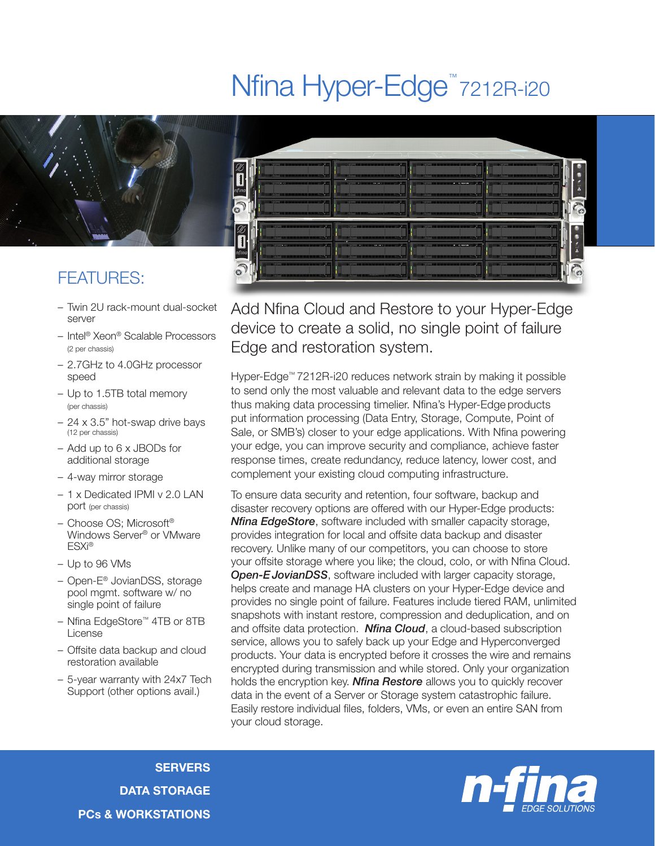## Nfina Hyper-Edge<sup>™</sup>7212R-i20



## FEATURES:

- Twin 2U rack-mount dual-socket server
- Intel® Xeon® Scalable Processors (2 per chassis)
- 2.7GHz to 4.0GHz processor speed
- Up to 1.5TB total memory (per chassis)
- 24 x 3.5" hot-swap drive bays (12 per chassis)
- Add up to 6 x JBODs for additional storage
- 4-way mirror storage
- 1 x Dedicated IPMI v 2.0 LAN port (per chassis)
- Choose OS; Microsoft® Windows Server® or VMware ESXi®
- Up to 96 VMs
- Open-E® JovianDSS, storage pool mgmt. software w/ no single point of failure
- Nfina EdgeStore™ 4TB or 8TB License
- Offsite data backup and cloud restoration available
- 5-year warranty with 24x7 Tech Support (other options avail.)



Add Nfina Cloud and Restore to your Hyper-Edge device to create a solid, no single point of failure Edge and restoration system.

Hyper-Edge™ 7212R-i20 reduces network strain by making it possible to send only the most valuable and relevant data to the edge servers thus making data processing timelier. Nfina's Hyper-Edge products put information processing (Data Entry, Storage, Compute, Point of Sale, or SMB's) closer to your edge applications. With Nfina powering your edge, you can improve security and compliance, achieve faster response times, create redundancy, reduce latency, lower cost, and complement your existing cloud computing infrastructure.

To ensure data security and retention, four software, backup and disaster recovery options are offered with our Hyper-Edge products: *Nfina EdgeStore*, software included with smaller capacity storage, provides integration for local and offsite data backup and disaster recovery. Unlike many of our competitors, you can choose to store your offsite storage where you like; the cloud, colo, or with Nfina Cloud. **Open-E JovianDSS**, software included with larger capacity storage, helps create and manage HA clusters on your Hyper-Edge device and provides no single point of failure. Features include tiered RAM, unlimited snapshots with instant restore, compression and deduplication, and on and offsite data protection. *Nfina Cloud*, a cloud-based subscription service, allows you to safely back up your Edge and Hyperconverged products. Your data is encrypted before it crosses the wire and remains encrypted during transmission and while stored. Only your organization holds the encryption key. *Nfina Restore* allows you to quickly recover data in the event of a Server or Storage system catastrophic failure. Easily restore individual files, folders, VMs, or even an entire SAN from your cloud storage.

**SERVERS** DATA STORAGE PCs & WORKSTATIONS

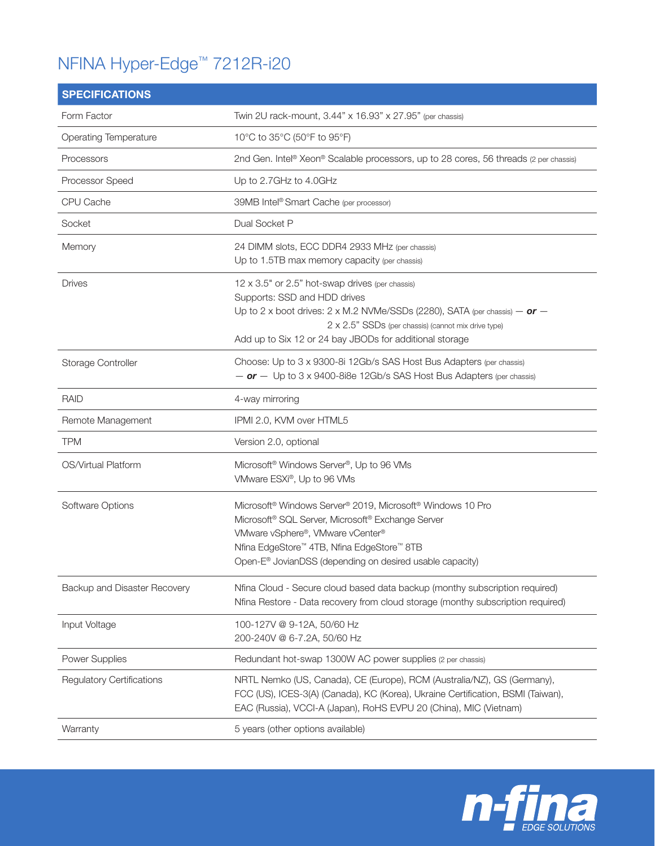## NFINA Hyper-Edge™ 7212R-i20

| <b>SPECIFICATIONS</b>            |                                                                                                                                                                                                                                                                                                   |
|----------------------------------|---------------------------------------------------------------------------------------------------------------------------------------------------------------------------------------------------------------------------------------------------------------------------------------------------|
| Form Factor                      | Twin 2U rack-mount, 3.44" x 16.93" x 27.95" (per chassis)                                                                                                                                                                                                                                         |
| <b>Operating Temperature</b>     | 10°C to 35°C (50°F to 95°F)                                                                                                                                                                                                                                                                       |
| Processors                       | 2nd Gen. Intel® Xeon® Scalable processors, up to 28 cores, 56 threads (2 per chassis)                                                                                                                                                                                                             |
| Processor Speed                  | Up to 2.7GHz to 4.0GHz                                                                                                                                                                                                                                                                            |
| CPU Cache                        | 39MB Intel® Smart Cache (per processor)                                                                                                                                                                                                                                                           |
| Socket                           | Dual Socket P                                                                                                                                                                                                                                                                                     |
| Memory                           | 24 DIMM slots, ECC DDR4 2933 MHz (per chassis)<br>Up to 1.5TB max memory capacity (per chassis)                                                                                                                                                                                                   |
| <b>Drives</b>                    | 12 x 3.5" or 2.5" hot-swap drives (per chassis)<br>Supports: SSD and HDD drives<br>Up to 2 x boot drives: 2 x M.2 NVMe/SSDs (2280), SATA (per chassis) $-$ or $-$<br>2 x 2.5" SSDs (per chassis) (cannot mix drive type)<br>Add up to Six 12 or 24 bay JBODs for additional storage               |
| Storage Controller               | Choose: Up to 3 x 9300-8i 12Gb/s SAS Host Bus Adapters (per chassis)<br>$-$ or $-$ Up to 3 x 9400-8i8e 12Gb/s SAS Host Bus Adapters (per chassis)                                                                                                                                                 |
| <b>RAID</b>                      | 4-way mirroring                                                                                                                                                                                                                                                                                   |
| Remote Management                | IPMI 2.0, KVM over HTML5                                                                                                                                                                                                                                                                          |
| <b>TPM</b>                       | Version 2.0, optional                                                                                                                                                                                                                                                                             |
| OS/Virtual Platform              | Microsoft <sup>®</sup> Windows Server <sup>®</sup> , Up to 96 VMs<br>VMware ESXi®, Up to 96 VMs                                                                                                                                                                                                   |
| Software Options                 | Microsoft <sup>®</sup> Windows Server <sup>®</sup> 2019, Microsoft <sup>®</sup> Windows 10 Pro<br>Microsoft® SQL Server, Microsoft® Exchange Server<br>VMware vSphere®, VMware vCenter®<br>Nfina EdgeStore™ 4TB, Nfina EdgeStore™ 8TB<br>Open-E® JovianDSS (depending on desired usable capacity) |
| Backup and Disaster Recovery     | Nfina Cloud - Secure cloud based data backup (monthy subscription required)<br>Nfina Restore - Data recovery from cloud storage (monthy subscription required)                                                                                                                                    |
| Input Voltage                    | 100-127V @ 9-12A, 50/60 Hz<br>200-240V @ 6-7.2A, 50/60 Hz                                                                                                                                                                                                                                         |
| <b>Power Supplies</b>            | Redundant hot-swap 1300W AC power supplies (2 per chassis)                                                                                                                                                                                                                                        |
| <b>Regulatory Certifications</b> | NRTL Nemko (US, Canada), CE (Europe), RCM (Australia/NZ), GS (Germany),<br>FCC (US), ICES-3(A) (Canada), KC (Korea), Ukraine Certification, BSMI (Taiwan),<br>EAC (Russia), VCCI-A (Japan), RoHS EVPU 20 (China), MIC (Vietnam)                                                                   |
| Warranty                         | 5 years (other options available)                                                                                                                                                                                                                                                                 |